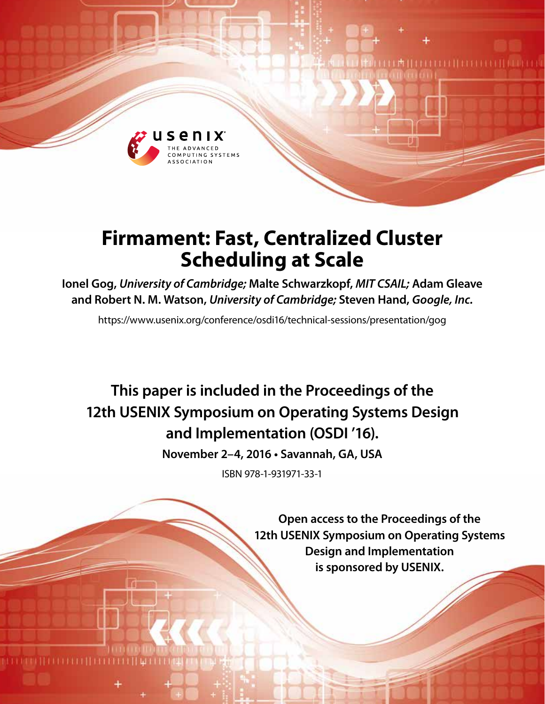

# **Firmament: Fast, Centralized Cluster Scheduling at Scale**

**Ionel Gog,** *University of Cambridge;* **Malte Schwarzkopf,** *MIT CSAIL;* **Adam Gleave and Robert N. M. Watson,** *University of Cambridge;* **Steven Hand,** *Google, Inc.*

https://www.usenix.org/conference/osdi16/technical-sessions/presentation/gog

**This paper is included in the Proceedings of the 12th USENIX Symposium on Operating Systems Design and Implementation (OSDI '16).**

**November 2–4, 2016 • Savannah, GA, USA**

ISBN 978-1-931971-33-1

**Open access to the Proceedings of the 12th USENIX Symposium on Operating Systems Design and Implementation is sponsored by USENIX.**

**TERRITERIA**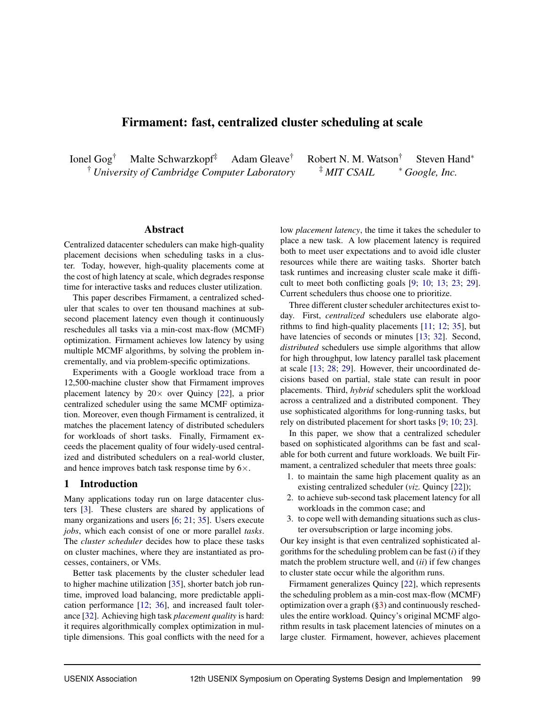# Firmament: fast, centralized cluster scheduling at scale

Ionel Gog† Malte Schwarzkopf‡ Adam Gleave† Robert N. M. Watson† Steven Hand<sup>∗</sup> † *University of Cambridge Computer Laboratory* ‡ *MIT CSAIL* <sup>∗</sup> *Google, Inc.*

## Abstract

Centralized datacenter schedulers can make high-quality placement decisions when scheduling tasks in a cluster. Today, however, high-quality placements come at the cost of high latency at scale, which degrades response time for interactive tasks and reduces cluster utilization.

This paper describes Firmament, a centralized scheduler that scales to over ten thousand machines at subsecond placement latency even though it continuously reschedules all tasks via a min-cost max-flow (MCMF) optimization. Firmament achieves low latency by using multiple MCMF algorithms, by solving the problem incrementally, and via problem-specific optimizations.

Experiments with a Google workload trace from a 12,500-machine cluster show that Firmament improves placement latency by  $20 \times$  over Quincy [22], a prior centralized scheduler using the same MCMF optimization. Moreover, even though Firmament is centralized, it matches the placement latency of distributed schedulers for workloads of short tasks. Finally, Firmament exceeds the placement quality of four widely-used centralized and distributed schedulers on a real-world cluster, and hence improves batch task response time by  $6\times$ .

# 1 Introduction

Many applications today run on large datacenter clusters [3]. These clusters are shared by applications of many organizations and users [6; 21; 35]. Users execute *jobs*, which each consist of one or more parallel *tasks*. The *cluster scheduler* decides how to place these tasks on cluster machines, where they are instantiated as processes, containers, or VMs.

Better task placements by the cluster scheduler lead to higher machine utilization [35], shorter batch job runtime, improved load balancing, more predictable application performance [12; 36], and increased fault tolerance [32]. Achieving high task *placement quality* is hard: it requires algorithmically complex optimization in multiple dimensions. This goal conflicts with the need for a low *placement latency*, the time it takes the scheduler to place a new task. A low placement latency is required both to meet user expectations and to avoid idle cluster resources while there are waiting tasks. Shorter batch task runtimes and increasing cluster scale make it difficult to meet both conflicting goals [9; 10; 13; 23; 29]. Current schedulers thus choose one to prioritize.

Three different cluster scheduler architectures exist today. First, *centralized* schedulers use elaborate algorithms to find high-quality placements [11; 12; 35], but have latencies of seconds or minutes [13; 32]. Second, *distributed* schedulers use simple algorithms that allow for high throughput, low latency parallel task placement at scale [13; 28; 29]. However, their uncoordinated decisions based on partial, stale state can result in poor placements. Third, *hybrid* schedulers split the workload across a centralized and a distributed component. They use sophisticated algorithms for long-running tasks, but rely on distributed placement for short tasks [9; 10; 23].

In this paper, we show that a centralized scheduler based on sophisticated algorithms can be fast and scalable for both current and future workloads. We built Firmament, a centralized scheduler that meets three goals:

- 1. to maintain the same high placement quality as an existing centralized scheduler (*viz.* Quincy [22]);
- 2. to achieve sub-second task placement latency for all workloads in the common case; and
- 3. to cope well with demanding situations such as cluster oversubscription or large incoming jobs.

Our key insight is that even centralized sophisticated algorithms for the scheduling problem can be fast (*i*) if they match the problem structure well, and (*ii*) if few changes to cluster state occur while the algorithm runs.

Firmament generalizes Quincy [22], which represents the scheduling problem as a min-cost max-flow (MCMF) optimization over a graph (§3) and continuously reschedules the entire workload. Quincy's original MCMF algorithm results in task placement latencies of minutes on a large cluster. Firmament, however, achieves placement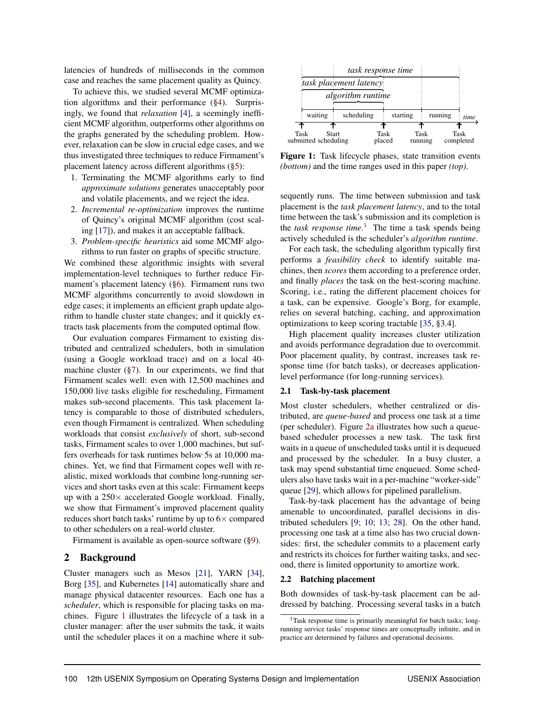latencies of hundreds of milliseconds in the common case and reaches the same placement quality as Quincy.

To achieve this, we studied several MCMF optimization algorithms and their performance (§4). Surprisingly, we found that *relaxation* [4], a seemingly inefficient MCMF algorithm, outperforms other algorithms on the graphs generated by the scheduling problem. However, relaxation can be slow in crucial edge cases, and we thus investigated three techniques to reduce Firmament's placement latency across different algorithms (§5):

- 1. Terminating the MCMF algorithms early to find *approximate solutions* generates unacceptably poor and volatile placements, and we reject the idea.
- 2. *Incremental re-optimization* improves the runtime of Quincy's original MCMF algorithm (cost scaling [17]), and makes it an acceptable fallback.
- 3. *Problem-specific heuristics* aid some MCMF algorithms to run faster on graphs of specific structure.

We combined these algorithmic insights with several implementation-level techniques to further reduce Firmament's placement latency (§6). Firmament runs two MCMF algorithms concurrently to avoid slowdown in edge cases; it implements an efficient graph update algorithm to handle cluster state changes; and it quickly extracts task placements from the computed optimal flow.

Our evaluation compares Firmament to existing distributed and centralized schedulers, both in simulation (using a Google workload trace) and on a local 40 machine cluster  $(\frac{6}{7})$ . In our experiments, we find that Firmament scales well: even with 12,500 machines and 150,000 live tasks eligible for rescheduling, Firmament makes sub-second placements. This task placement latency is comparable to those of distributed schedulers, even though Firmament is centralized. When scheduling workloads that consist *exclusively* of short, sub-second tasks, Firmament scales to over 1,000 machines, but suffers overheads for task runtimes below 5s at 10,000 machines. Yet, we find that Firmament copes well with realistic, mixed workloads that combine long-running services and short tasks even at this scale: Firmament keeps up with a  $250 \times$  accelerated Google workload. Finally, we show that Firmament's improved placement quality reduces short batch tasks' runtime by up to  $6\times$  compared to other schedulers on a real-world cluster.

Firmament is available as open-source software (§9).

# 2 Background

Cluster managers such as Mesos [21], YARN [34], Borg [35], and Kubernetes [14] automatically share and manage physical datacenter resources. Each one has a *scheduler*, which is responsible for placing tasks on machines. Figure 1 illustrates the lifecycle of a task in a cluster manager: after the user submits the task, it waits until the scheduler places it on a machine where it sub-



Figure 1: Task lifecycle phases, state transition events *(bottom)* and the time ranges used in this paper *(top)*.

sequently runs. The time between submission and task placement is the *task placement latency*, and to the total time between the task's submission and its completion is the *task response time*. 1 The time a task spends being actively scheduled is the scheduler's *algorithm runtime*.

For each task, the scheduling algorithm typically first performs a *feasibility check* to identify suitable machines, then *scores* them according to a preference order, and finally *places* the task on the best-scoring machine. Scoring, i.e., rating the different placement choices for a task, can be expensive. Google's Borg, for example, relies on several batching, caching, and approximation optimizations to keep scoring tractable [35, §3.4].

High placement quality increases cluster utilization and avoids performance degradation due to overcommit. Poor placement quality, by contrast, increases task response time (for batch tasks), or decreases applicationlevel performance (for long-running services).

#### 2.1 Task-by-task placement

Most cluster schedulers, whether centralized or distributed, are *queue-based* and process one task at a time (per scheduler). Figure 2a illustrates how such a queuebased scheduler processes a new task. The task first waits in a queue of unscheduled tasks until it is dequeued and processed by the scheduler. In a busy cluster, a task may spend substantial time enqueued. Some schedulers also have tasks wait in a per-machine "worker-side" queue [29], which allows for pipelined parallelism.

Task-by-task placement has the advantage of being amenable to uncoordinated, parallel decisions in distributed schedulers [9; 10; 13; 28]. On the other hand, processing one task at a time also has two crucial downsides: first, the scheduler commits to a placement early and restricts its choices for further waiting tasks, and second, there is limited opportunity to amortize work.

#### 2.2 Batching placement

Both downsides of task-by-task placement can be addressed by batching. Processing several tasks in a batch

<sup>&</sup>lt;sup>1</sup>Task response time is primarily meaningful for batch tasks; longrunning service tasks' response times are conceptually infinite, and in practice are determined by failures and operational decisions.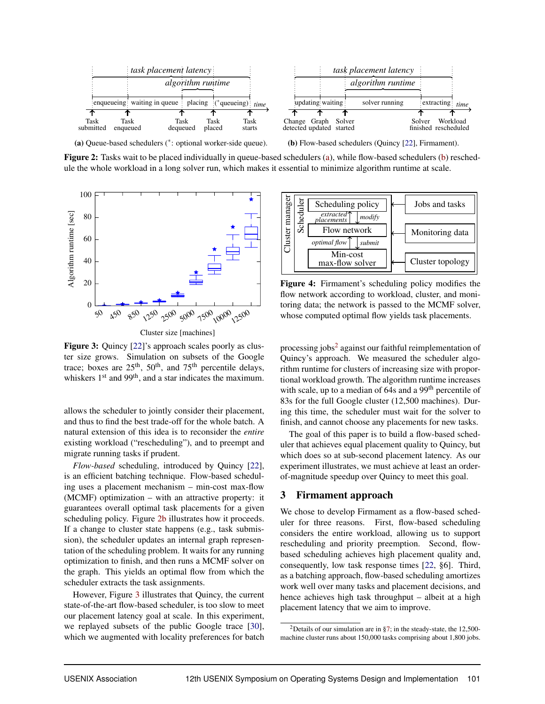

Figure 2: Tasks wait to be placed individually in queue-based schedulers (a), while flow-based schedulers (b) reschedule the whole workload in a long solver run, which makes it essential to minimize algorithm runtime at scale.



Cluster size [machines]

Figure 3: Quincy [22]'s approach scales poorly as cluster size grows. Simulation on subsets of the Google trace; boxes are  $25<sup>th</sup>$ ,  $50<sup>th</sup>$ , and  $75<sup>th</sup>$  percentile delays, whiskers  $1<sup>st</sup>$  and  $99<sup>th</sup>$ , and a star indicates the maximum.

allows the scheduler to jointly consider their placement, and thus to find the best trade-off for the whole batch. A natural extension of this idea is to reconsider the *entire* existing workload ("rescheduling"), and to preempt and migrate running tasks if prudent.

*Flow-based* scheduling, introduced by Quincy [22], is an efficient batching technique. Flow-based scheduling uses a placement mechanism – min-cost max-flow (MCMF) optimization – with an attractive property: it guarantees overall optimal task placements for a given scheduling policy. Figure 2b illustrates how it proceeds. If a change to cluster state happens (e.g., task submission), the scheduler updates an internal graph representation of the scheduling problem. It waits for any running optimization to finish, and then runs a MCMF solver on the graph. This yields an optimal flow from which the scheduler extracts the task assignments.

However, Figure 3 illustrates that Quincy, the current state-of-the-art flow-based scheduler, is too slow to meet our placement latency goal at scale. In this experiment, we replayed subsets of the public Google trace [30], which we augmented with locality preferences for batch



Figure 4: Firmament's scheduling policy modifies the flow network according to workload, cluster, and monitoring data; the network is passed to the MCMF solver, whose computed optimal flow yields task placements.

processing jobs<sup>2</sup> against our faithful reimplementation of Quincy's approach. We measured the scheduler algorithm runtime for clusters of increasing size with proportional workload growth. The algorithm runtime increases with scale, up to a median of 64s and a 99<sup>th</sup> percentile of 83s for the full Google cluster (12,500 machines). During this time, the scheduler must wait for the solver to finish, and cannot choose any placements for new tasks.

The goal of this paper is to build a flow-based scheduler that achieves equal placement quality to Quincy, but which does so at sub-second placement latency. As our experiment illustrates, we must achieve at least an orderof-magnitude speedup over Quincy to meet this goal.

# 3 Firmament approach

We chose to develop Firmament as a flow-based scheduler for three reasons. First, flow-based scheduling considers the entire workload, allowing us to support rescheduling and priority preemption. Second, flowbased scheduling achieves high placement quality and, consequently, low task response times [22, §6]. Third, as a batching approach, flow-based scheduling amortizes work well over many tasks and placement decisions, and hence achieves high task throughput – albeit at a high placement latency that we aim to improve.

<sup>&</sup>lt;sup>2</sup>Details of our simulation are in §7; in the steady-state, the 12,500machine cluster runs about 150,000 tasks comprising about 1,800 jobs.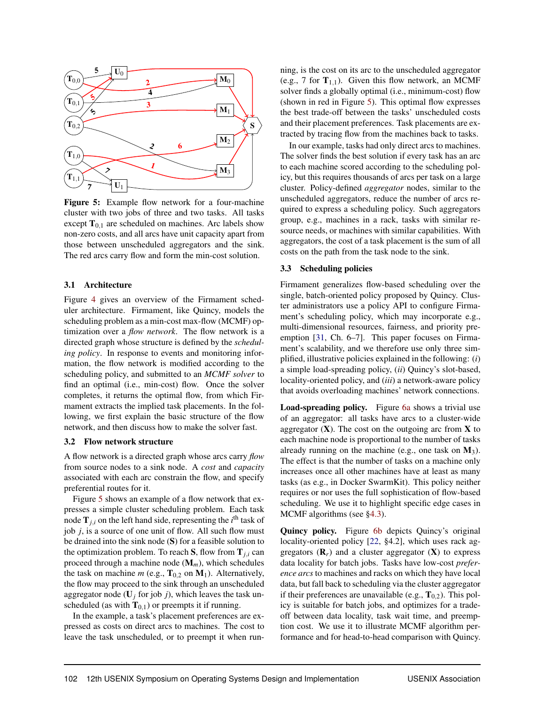

Figure 5: Example flow network for a four-machine cluster with two jobs of three and two tasks. All tasks except  $T_{0,1}$  are scheduled on machines. Arc labels show non-zero costs, and all arcs have unit capacity apart from those between unscheduled aggregators and the sink. The red arcs carry flow and form the min-cost solution.

#### 3.1 Architecture

Figure 4 gives an overview of the Firmament scheduler architecture. Firmament, like Quincy, models the scheduling problem as a min-cost max-flow (MCMF) optimization over a *flow network*. The flow network is a directed graph whose structure is defined by the *scheduling policy*. In response to events and monitoring information, the flow network is modified according to the scheduling policy, and submitted to an *MCMF solver* to find an optimal (i.e., min-cost) flow. Once the solver completes, it returns the optimal flow, from which Firmament extracts the implied task placements. In the following, we first explain the basic structure of the flow network, and then discuss how to make the solver fast.

### 3.2 Flow network structure

A flow network is a directed graph whose arcs carry *flow* from source nodes to a sink node. A *cost* and *capacity* associated with each arc constrain the flow, and specify preferential routes for it.

Figure 5 shows an example of a flow network that expresses a simple cluster scheduling problem. Each task node  $\mathbf{T}_{j,i}$  on the left hand side, representing the  $i^{\text{th}}$  task of job *j*, is a source of one unit of flow. All such flow must be drained into the sink node (S) for a feasible solution to the optimization problem. To reach  $S$ , flow from  $T_{j,i}$  can proceed through a machine node (M*m*), which schedules the task on machine *m* (e.g.,  $T_{0.2}$  on  $M_1$ ). Alternatively, the flow may proceed to the sink through an unscheduled aggregator node  $(U_j$  for job *j*), which leaves the task unscheduled (as with  $T_{0,1}$ ) or preempts it if running.

In the example, a task's placement preferences are expressed as costs on direct arcs to machines. The cost to leave the task unscheduled, or to preempt it when running, is the cost on its arc to the unscheduled aggregator (e.g., 7 for  $T_{1,1}$ ). Given this flow network, an MCMF solver finds a globally optimal (i.e., minimum-cost) flow (shown in red in Figure 5). This optimal flow expresses the best trade-off between the tasks' unscheduled costs and their placement preferences. Task placements are extracted by tracing flow from the machines back to tasks.

In our example, tasks had only direct arcs to machines. The solver finds the best solution if every task has an arc to each machine scored according to the scheduling policy, but this requires thousands of arcs per task on a large cluster. Policy-defined *aggregator* nodes, similar to the unscheduled aggregators, reduce the number of arcs required to express a scheduling policy. Such aggregators group, e.g., machines in a rack, tasks with similar resource needs, or machines with similar capabilities. With aggregators, the cost of a task placement is the sum of all costs on the path from the task node to the sink.

## 3.3 Scheduling policies

Firmament generalizes flow-based scheduling over the single, batch-oriented policy proposed by Quincy. Cluster administrators use a policy API to configure Firmament's scheduling policy, which may incorporate e.g., multi-dimensional resources, fairness, and priority preemption [31, Ch. 6–7]. This paper focuses on Firmament's scalability, and we therefore use only three simplified, illustrative policies explained in the following: (*i*) a simple load-spreading policy, (*ii*) Quincy's slot-based, locality-oriented policy, and (*iii*) a network-aware policy that avoids overloading machines' network connections.

Load-spreading policy. Figure 6a shows a trivial use of an aggregator: all tasks have arcs to a cluster-wide aggregator  $(X)$ . The cost on the outgoing arc from X to each machine node is proportional to the number of tasks already running on the machine (e.g., one task on  $M_3$ ). The effect is that the number of tasks on a machine only increases once all other machines have at least as many tasks (as e.g., in Docker SwarmKit). This policy neither requires or nor uses the full sophistication of flow-based scheduling. We use it to highlight specific edge cases in MCMF algorithms (see §4.3).

Quincy policy. Figure 6b depicts Quincy's original locality-oriented policy [22, §4.2], which uses rack aggregators  $(\mathbf{R}_r)$  and a cluster aggregator  $(\mathbf{X})$  to express data locality for batch jobs. Tasks have low-cost *preference arcs* to machines and racks on which they have local data, but fall back to scheduling via the cluster aggregator if their preferences are unavailable (e.g.,  $T_{0,2}$ ). This policy is suitable for batch jobs, and optimizes for a tradeoff between data locality, task wait time, and preemption cost. We use it to illustrate MCMF algorithm performance and for head-to-head comparison with Quincy.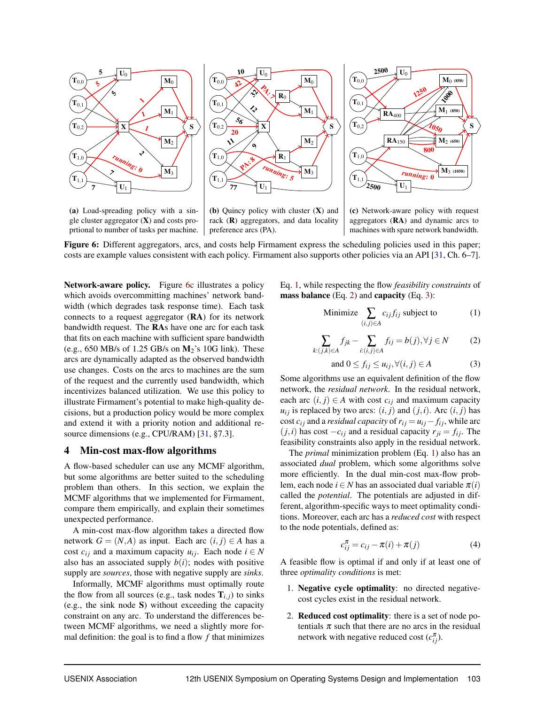

(a) Load-spreading policy with a single cluster aggregator  $(X)$  and costs proprtional to number of tasks per machine.

(b) Quincy policy with cluster (X) and rack  $(R)$  aggregators, and data locality preference arcs (PA).

(c) Network-aware policy with request aggregators (RA) and dynamic arcs to machines with spare network bandwidth.

Figure 6: Different aggregators, arcs, and costs help Firmament express the scheduling policies used in this paper; costs are example values consistent with each policy. Firmament also supports other policies via an API [31, Ch. 6–7].

Network-aware policy. Figure 6c illustrates a policy which avoids overcommitting machines' network bandwidth (which degrades task response time). Each task connects to a request aggregator (RA) for its network bandwidth request. The RAs have one arc for each task that fits on each machine with sufficient spare bandwidth (e.g.,  $650$  MB/s of 1.25 GB/s on  $M_2$ 's 10G link). These arcs are dynamically adapted as the observed bandwidth use changes. Costs on the arcs to machines are the sum of the request and the currently used bandwidth, which incentivizes balanced utilization. We use this policy to illustrate Firmament's potential to make high-quality decisions, but a production policy would be more complex and extend it with a priority notion and additional resource dimensions (e.g., CPU/RAM) [31, §7.3].

## 4 Min-cost max-flow algorithms

A flow-based scheduler can use any MCMF algorithm, but some algorithms are better suited to the scheduling problem than others. In this section, we explain the MCMF algorithms that we implemented for Firmament, compare them empirically, and explain their sometimes unexpected performance.

A min-cost max-flow algorithm takes a directed flow network  $G = (N, A)$  as input. Each arc  $(i, j) \in A$  has a cost  $c_{ij}$  and a maximum capacity  $u_{ij}$ . Each node  $i \in N$ also has an associated supply  $b(i)$ ; nodes with positive supply are *sources*, those with negative supply are *sinks*.

Informally, MCMF algorithms must optimally route the flow from all sources (e.g., task nodes  $\mathbf{T}_{i,j}$ ) to sinks (e.g., the sink node S) without exceeding the capacity constraint on any arc. To understand the differences between MCMF algorithms, we need a slightly more formal definition: the goal is to find a flow *f* that minimizes Eq. 1, while respecting the flow *feasibility constraints* of mass balance (Eq. 2) and capacity (Eq. 3):

Minimize 
$$
\sum_{(i,j)\in A} c_{ij} f_{ij}
$$
 subject to (1)

$$
\sum_{k:(j,k)\in A} f_{jk} - \sum_{i:(i,j)\in A} f_{ij} = b(j), \forall j \in N \tag{2}
$$

and 
$$
0 \le f_{ij} \le u_{ij}, \forall (i, j) \in A
$$
 (3)

Some algorithms use an equivalent definition of the flow network, the *residual network*. In the residual network, each arc  $(i, j) \in A$  with cost  $c_{ij}$  and maximum capacity  $u_{ij}$  is replaced by two arcs:  $(i, j)$  and  $(j, i)$ . Arc  $(i, j)$  has cost  $c_{ij}$  and a *residual capacity* of  $r_{ij} = u_{ij} - f_{ij}$ , while arc  $(j,i)$  has cost  $-c_{ij}$  and a residual capacity  $r_{ji} = f_{ij}$ . The feasibility constraints also apply in the residual network.

The *primal* minimization problem (Eq. 1) also has an associated *dual* problem, which some algorithms solve more efficiently. In the dual min-cost max-flow problem, each node  $i \in N$  has an associated dual variable  $\pi(i)$ called the *potential*. The potentials are adjusted in different, algorithm-specific ways to meet optimality conditions. Moreover, each arc has a *reduced cost* with respect to the node potentials, defined as:

$$
c_{ij}^{\pi} = c_{ij} - \pi(i) + \pi(j) \tag{4}
$$

A feasible flow is optimal if and only if at least one of three *optimality conditions* is met:

- 1. Negative cycle optimality: no directed negativecost cycles exist in the residual network.
- 2. Reduced cost optimality: there is a set of node potentials  $\pi$  such that there are no arcs in the residual network with negative reduced cost  $(c_{ij}^{\pi})$ .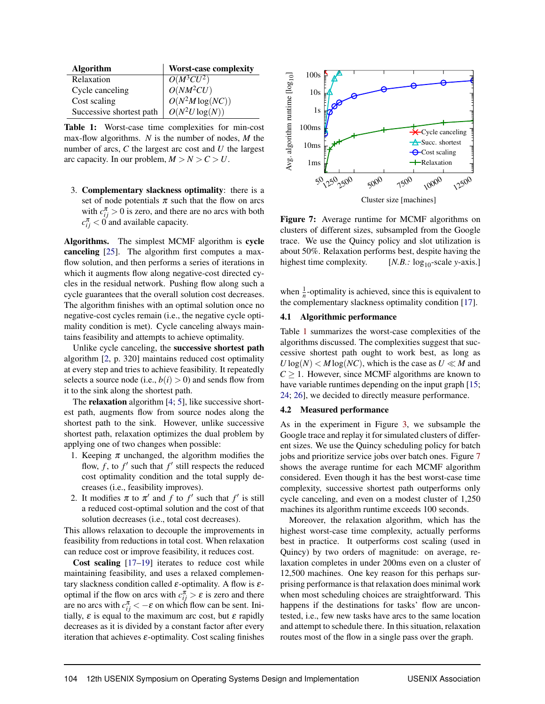| <b>Algorithm</b>         | <b>Worst-case complexity</b>                                                   |
|--------------------------|--------------------------------------------------------------------------------|
| Relaxation               |                                                                                |
| Cycle canceling          |                                                                                |
| Cost scaling             | $\begin{array}{l} \hline O(M^3CU^2) \ O(NM^2CU) \ O(N^2M\log(NC)) \end{array}$ |
| Successive shortest path | $O(N^2U \log(N))$                                                              |

Table 1: Worst-case time complexities for min-cost max-flow algorithms. *N* is the number of nodes, *M* the number of arcs, *C* the largest arc cost and *U* the largest arc capacity. In our problem,  $M > N > C > U$ .

3. Complementary slackness optimality: there is a set of node potentials  $\pi$  such that the flow on arcs with  $c_{ij}^{\pi} > 0$  is zero, and there are no arcs with both  $c_{ij}^{\pi}$  < 0 and available capacity.

Algorithms. The simplest MCMF algorithm is cycle canceling [25]. The algorithm first computes a maxflow solution, and then performs a series of iterations in which it augments flow along negative-cost directed cycles in the residual network. Pushing flow along such a cycle guarantees that the overall solution cost decreases. The algorithm finishes with an optimal solution once no negative-cost cycles remain (i.e., the negative cycle optimality condition is met). Cycle canceling always maintains feasibility and attempts to achieve optimality.

Unlike cycle canceling, the successive shortest path algorithm [2, p. 320] maintains reduced cost optimality at every step and tries to achieve feasibility. It repeatedly selects a source node (i.e.,  $b(i) > 0$ ) and sends flow from it to the sink along the shortest path.

The **relaxation** algorithm [4; 5], like successive shortest path, augments flow from source nodes along the shortest path to the sink. However, unlike successive shortest path, relaxation optimizes the dual problem by applying one of two changes when possible:

- 1. Keeping  $\pi$  unchanged, the algorithm modifies the flow,  $f$ , to  $f'$  such that  $f'$  still respects the reduced cost optimality condition and the total supply decreases (i.e., feasibility improves).
- 2. It modifies  $\pi$  to  $\pi'$  and  $f$  to  $f'$  such that  $f'$  is still a reduced cost-optimal solution and the cost of that solution decreases (i.e., total cost decreases).

This allows relaxation to decouple the improvements in feasibility from reductions in total cost. When relaxation can reduce cost or improve feasibility, it reduces cost.

Cost scaling [17–19] iterates to reduce cost while maintaining feasibility, and uses a relaxed complementary slackness condition called  $\varepsilon$ -optimality. A flow is  $\varepsilon$ optimal if the flow on arcs with  $c_{ij}^{\pi} > \varepsilon$  is zero and there are no arcs with  $c_{ij}^{\pi} < -\varepsilon$  on which flow can be sent. Initially,  $\varepsilon$  is equal to the maximum arc cost, but  $\varepsilon$  rapidly decreases as it is divided by a constant factor after every iteration that achieves  $\varepsilon$ -optimality. Cost scaling finishes



Figure 7: Average runtime for MCMF algorithms on

clusters of different sizes, subsampled from the Google trace. We use the Quincy policy and slot utilization is about 50%. Relaxation performs best, despite having the highest time complexity. [*N.B.:* log<sub>10</sub>-scale *y*-axis.]

when  $\frac{1}{n}$ -optimality is achieved, since this is equivalent to the complementary slackness optimality condition [17].

## 4.1 Algorithmic performance

Table 1 summarizes the worst-case complexities of the algorithms discussed. The complexities suggest that successive shortest path ought to work best, as long as  $U\log(N) < M\log(NC)$ , which is the case as  $U \ll M$  and  $C \geq 1$ . However, since MCMF algorithms are known to have variable runtimes depending on the input graph [15; 24; 26], we decided to directly measure performance.

## 4.2 Measured performance

As in the experiment in Figure 3, we subsample the Google trace and replay it for simulated clusters of different sizes. We use the Quincy scheduling policy for batch jobs and prioritize service jobs over batch ones. Figure 7 shows the average runtime for each MCMF algorithm considered. Even though it has the best worst-case time complexity, successive shortest path outperforms only cycle canceling, and even on a modest cluster of 1,250 machines its algorithm runtime exceeds 100 seconds.

Moreover, the relaxation algorithm, which has the highest worst-case time complexity, actually performs best in practice. It outperforms cost scaling (used in Quincy) by two orders of magnitude: on average, relaxation completes in under 200ms even on a cluster of 12,500 machines. One key reason for this perhaps surprising performance is that relaxation does minimal work when most scheduling choices are straightforward. This happens if the destinations for tasks' flow are uncontested, i.e., few new tasks have arcs to the same location and attempt to schedule there. In this situation, relaxation routes most of the flow in a single pass over the graph.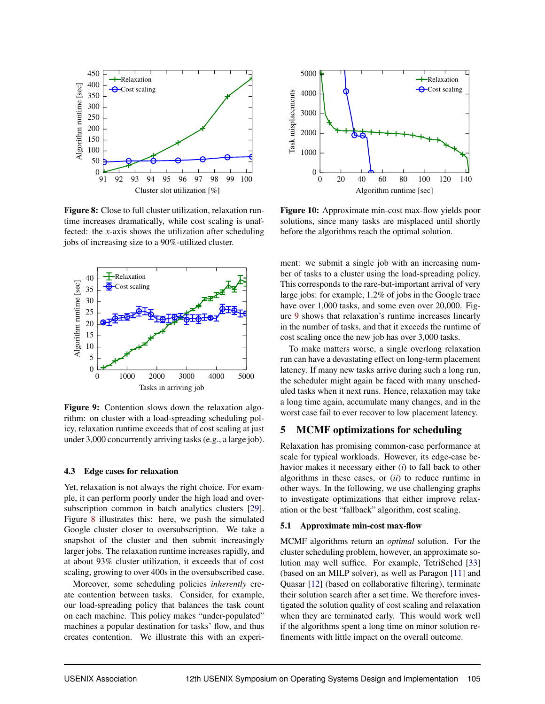

Figure 8: Close to full cluster utilization, relaxation runtime increases dramatically, while cost scaling is unaffected: the *x*-axis shows the utilization after scheduling jobs of increasing size to a 90%-utilized cluster.



Figure 9: Contention slows down the relaxation algorithm: on cluster with a load-spreading scheduling policy, relaxation runtime exceeds that of cost scaling at just under 3,000 concurrently arriving tasks (e.g., a large job).

#### 4.3 Edge cases for relaxation

Yet, relaxation is not always the right choice. For example, it can perform poorly under the high load and oversubscription common in batch analytics clusters [29]. Figure 8 illustrates this: here, we push the simulated Google cluster closer to oversubscription. We take a snapshot of the cluster and then submit increasingly larger jobs. The relaxation runtime increases rapidly, and at about 93% cluster utilization, it exceeds that of cost scaling, growing to over 400s in the oversubscribed case.

Moreover, some scheduling policies *inherently* create contention between tasks. Consider, for example, our load-spreading policy that balances the task count on each machine. This policy makes "under-populated" machines a popular destination for tasks' flow, and thus creates contention. We illustrate this with an experi-



Figure 10: Approximate min-cost max-flow yields poor solutions, since many tasks are misplaced until shortly before the algorithms reach the optimal solution.

ment: we submit a single job with an increasing number of tasks to a cluster using the load-spreading policy. This corresponds to the rare-but-important arrival of very large jobs: for example, 1.2% of jobs in the Google trace have over 1,000 tasks, and some even over 20,000. Figure 9 shows that relaxation's runtime increases linearly in the number of tasks, and that it exceeds the runtime of cost scaling once the new job has over 3,000 tasks.

To make matters worse, a single overlong relaxation run can have a devastating effect on long-term placement latency. If many new tasks arrive during such a long run, the scheduler might again be faced with many unscheduled tasks when it next runs. Hence, relaxation may take a long time again, accumulate many changes, and in the worst case fail to ever recover to low placement latency.

# 5 MCMF optimizations for scheduling

Relaxation has promising common-case performance at scale for typical workloads. However, its edge-case behavior makes it necessary either (*i*) to fall back to other algorithms in these cases, or (*ii*) to reduce runtime in other ways. In the following, we use challenging graphs to investigate optimizations that either improve relaxation or the best "fallback" algorithm, cost scaling.

#### 5.1 Approximate min-cost max-flow

MCMF algorithms return an *optimal* solution. For the cluster scheduling problem, however, an approximate solution may well suffice. For example, TetriSched [33] (based on an MILP solver), as well as Paragon [11] and Quasar [12] (based on collaborative filtering), terminate their solution search after a set time. We therefore investigated the solution quality of cost scaling and relaxation when they are terminated early. This would work well if the algorithms spent a long time on minor solution refinements with little impact on the overall outcome.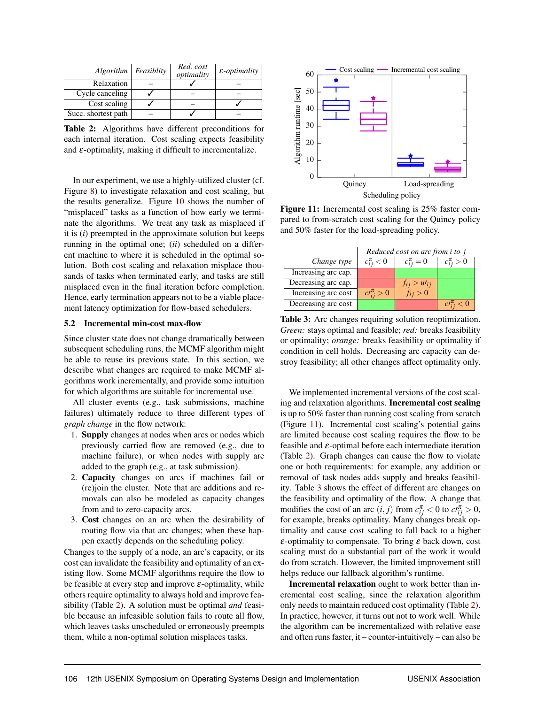| $Algorithm \,   \, Feasibility$ | Red. cost<br>optimality | $\varepsilon$ -optimality |
|---------------------------------|-------------------------|---------------------------|
| Relaxation                      |                         |                           |
| Cycle canceling                 |                         |                           |
| Cost scaling                    |                         |                           |
| Succ. shortest path             |                         |                           |

Table 2: Algorithms have different preconditions for each internal iteration. Cost scaling expects feasibility and  $\varepsilon$ -optimality, making it difficult to incrementalize.

In our experiment, we use a highly-utilized cluster (cf. Figure 8) to investigate relaxation and cost scaling, but the results generalize. Figure 10 shows the number of "misplaced" tasks as a function of how early we terminate the algorithms. We treat any task as misplaced if it is (*i*) preempted in the approximate solution but keeps running in the optimal one; (*ii*) scheduled on a different machine to where it is scheduled in the optimal solution. Both cost scaling and relaxation misplace thousands of tasks when terminated early, and tasks are still misplaced even in the final iteration before completion. Hence, early termination appears not to be a viable placement latency optimization for flow-based schedulers.

#### 5.2 Incremental min-cost max-flow

Since cluster state does not change dramatically between subsequent scheduling runs, the MCMF algorithm might be able to reuse its previous state. In this section, we describe what changes are required to make MCMF algorithms work incrementally, and provide some intuition for which algorithms are suitable for incremental use.

All cluster events (e.g., task submissions, machine failures) ultimately reduce to three different types of *graph change* in the flow network:

- 1. Supply changes at nodes when arcs or nodes which previously carried flow are removed (e.g., due to machine failure), or when nodes with supply are added to the graph (e.g., at task submission).
- 2. Capacity changes on arcs if machines fail or (re)join the cluster. Note that arc additions and removals can also be modeled as capacity changes from and to zero-capacity arcs.
- 3. Cost changes on an arc when the desirability of routing flow via that arc changes; when these happen exactly depends on the scheduling policy.

Changes to the supply of a node, an arc's capacity, or its cost can invalidate the feasibility and optimality of an existing flow. Some MCMF algorithms require the flow to be feasible at every step and improve  $\varepsilon$ -optimality, while others require optimality to always hold and improve feasibility (Table 2). A solution must be optimal *and* feasible because an infeasible solution fails to route all flow, which leaves tasks unscheduled or erroneously preempts them, while a non-optimal solution misplaces tasks.



Figure 11: Incremental cost scaling is 25% faster compared to from-scratch cost scaling for the Quincy policy and 50% faster for the load-spreading policy.

|                     | Reduced cost on arc from <i>i</i> to <i>j</i> |                     |                    |
|---------------------|-----------------------------------------------|---------------------|--------------------|
| Change type         | $c_{ii}^{\pi} < 0$                            | $c_{ii}^{\pi} = 0$  | $c_{ii}^{\pi} > 0$ |
| Increasing arc cap. |                                               |                     |                    |
| Decreasing arc cap. |                                               | $f_{ij} > u t_{ij}$ |                    |
| Increasing arc cost | $c t_{ii}^{\pi} > 0$                          | $f_{ij} > 0$        |                    |
| Decreasing arc cost |                                               |                     | < 0<br>$c^{\mu}$   |

Table 3: Arc changes requiring solution reoptimization. *Green:* stays optimal and feasible; *red:* breaks feasibility or optimality; *orange:* breaks feasibility or optimality if condition in cell holds. Decreasing arc capacity can destroy feasibility; all other changes affect optimality only.

We implemented incremental versions of the cost scaling and relaxation algorithms. Incremental cost scaling is up to 50% faster than running cost scaling from scratch (Figure 11). Incremental cost scaling's potential gains are limited because cost scaling requires the flow to be feasible and  $\varepsilon$ -optimal before each intermediate iteration (Table 2). Graph changes can cause the flow to violate one or both requirements: for example, any addition or removal of task nodes adds supply and breaks feasibility. Table 3 shows the effect of different arc changes on the feasibility and optimality of the flow. A change that modifies the cost of an arc  $(i, j)$  from  $c_{ij}^{\pi} < 0$  to  $c_l^{\pi} > 0$ , for example, breaks optimality. Many changes break optimality and cause cost scaling to fall back to a higher  $\varepsilon$ -optimality to compensate. To bring  $\varepsilon$  back down, cost scaling must do a substantial part of the work it would do from scratch. However, the limited improvement still helps reduce our fallback algorithm's runtime.

Incremental relaxation ought to work better than incremental cost scaling, since the relaxation algorithm only needs to maintain reduced cost optimality (Table 2). In practice, however, it turns out not to work well. While the algorithm can be incrementalized with relative ease and often runs faster, it – counter-intuitively – can also be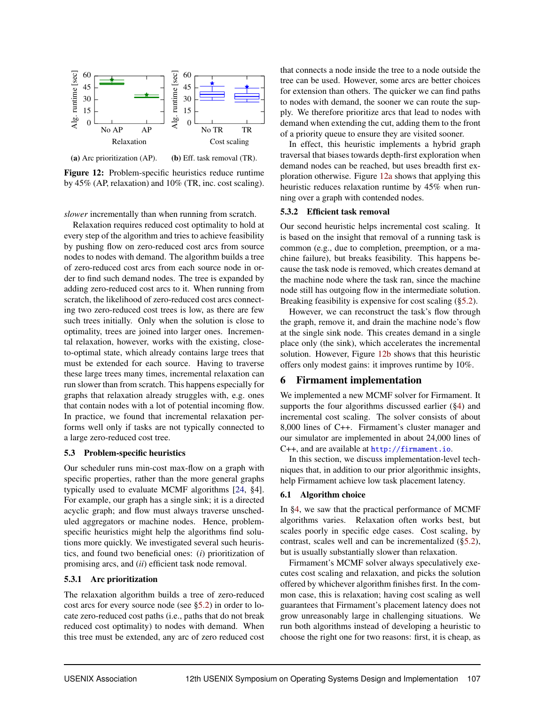

Figure 12: Problem-specific heuristics reduce runtime by 45% (AP, relaxation) and 10% (TR, inc. cost scaling).

*slower* incrementally than when running from scratch.

Relaxation requires reduced cost optimality to hold at every step of the algorithm and tries to achieve feasibility by pushing flow on zero-reduced cost arcs from source nodes to nodes with demand. The algorithm builds a tree of zero-reduced cost arcs from each source node in order to find such demand nodes. The tree is expanded by adding zero-reduced cost arcs to it. When running from scratch, the likelihood of zero-reduced cost arcs connecting two zero-reduced cost trees is low, as there are few such trees initially. Only when the solution is close to optimality, trees are joined into larger ones. Incremental relaxation, however, works with the existing, closeto-optimal state, which already contains large trees that must be extended for each source. Having to traverse these large trees many times, incremental relaxation can run slower than from scratch. This happens especially for graphs that relaxation already struggles with, e.g. ones that contain nodes with a lot of potential incoming flow. In practice, we found that incremental relaxation performs well only if tasks are not typically connected to a large zero-reduced cost tree.

#### 5.3 Problem-specific heuristics

Our scheduler runs min-cost max-flow on a graph with specific properties, rather than the more general graphs typically used to evaluate MCMF algorithms [24, §4]. For example, our graph has a single sink; it is a directed acyclic graph; and flow must always traverse unscheduled aggregators or machine nodes. Hence, problemspecific heuristics might help the algorithms find solutions more quickly. We investigated several such heuristics, and found two beneficial ones: (*i*) prioritization of promising arcs, and (*ii*) efficient task node removal.

## 5.3.1 Arc prioritization

The relaxation algorithm builds a tree of zero-reduced cost arcs for every source node (see §5.2) in order to locate zero-reduced cost paths (i.e., paths that do not break reduced cost optimality) to nodes with demand. When this tree must be extended, any arc of zero reduced cost that connects a node inside the tree to a node outside the tree can be used. However, some arcs are better choices for extension than others. The quicker we can find paths to nodes with demand, the sooner we can route the supply. We therefore prioritize arcs that lead to nodes with demand when extending the cut, adding them to the front of a priority queue to ensure they are visited sooner.

In effect, this heuristic implements a hybrid graph traversal that biases towards depth-first exploration when demand nodes can be reached, but uses breadth first exploration otherwise. Figure 12a shows that applying this heuristic reduces relaxation runtime by 45% when running over a graph with contended nodes.

## 5.3.2 Efficient task removal

Our second heuristic helps incremental cost scaling. It is based on the insight that removal of a running task is common (e.g., due to completion, preemption, or a machine failure), but breaks feasibility. This happens because the task node is removed, which creates demand at the machine node where the task ran, since the machine node still has outgoing flow in the intermediate solution. Breaking feasibility is expensive for cost scaling (§5.2).

However, we can reconstruct the task's flow through the graph, remove it, and drain the machine node's flow at the single sink node. This creates demand in a single place only (the sink), which accelerates the incremental solution. However, Figure 12b shows that this heuristic offers only modest gains: it improves runtime by 10%.

# 6 Firmament implementation

We implemented a new MCMF solver for Firmament. It supports the four algorithms discussed earlier (§4) and incremental cost scaling. The solver consists of about 8,000 lines of C++. Firmament's cluster manager and our simulator are implemented in about 24,000 lines of C++, and are available at <http://firmament.io>.

In this section, we discuss implementation-level techniques that, in addition to our prior algorithmic insights, help Firmament achieve low task placement latency.

## 6.1 Algorithm choice

In §4, we saw that the practical performance of MCMF algorithms varies. Relaxation often works best, but scales poorly in specific edge cases. Cost scaling, by contrast, scales well and can be incrementalized (§5.2), but is usually substantially slower than relaxation.

Firmament's MCMF solver always speculatively executes cost scaling and relaxation, and picks the solution offered by whichever algorithm finishes first. In the common case, this is relaxation; having cost scaling as well guarantees that Firmament's placement latency does not grow unreasonably large in challenging situations. We run both algorithms instead of developing a heuristic to choose the right one for two reasons: first, it is cheap, as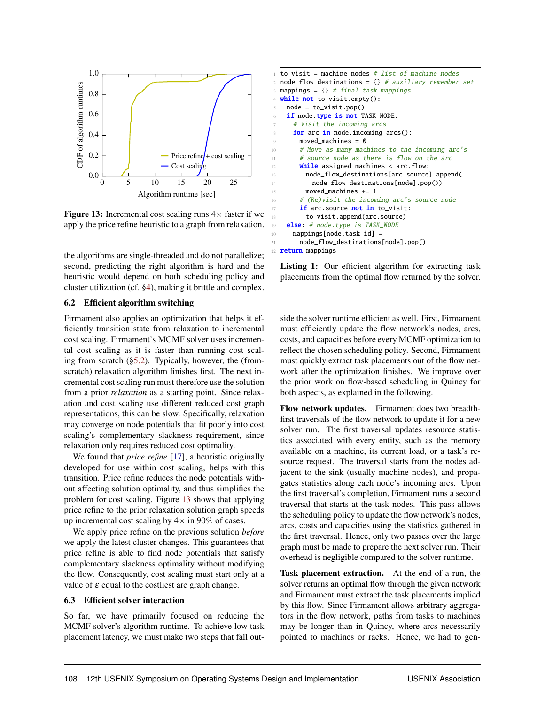

Figure 13: Incremental cost scaling runs  $4 \times$  faster if we apply the price refine heuristic to a graph from relaxation.

the algorithms are single-threaded and do not parallelize; second, predicting the right algorithm is hard and the heuristic would depend on both scheduling policy and cluster utilization (cf. §4), making it brittle and complex.

#### 6.2 Efficient algorithm switching

Firmament also applies an optimization that helps it efficiently transition state from relaxation to incremental cost scaling. Firmament's MCMF solver uses incremental cost scaling as it is faster than running cost scaling from scratch (§5.2). Typically, however, the (fromscratch) relaxation algorithm finishes first. The next incremental cost scaling run must therefore use the solution from a prior *relaxation* as a starting point. Since relaxation and cost scaling use different reduced cost graph representations, this can be slow. Specifically, relaxation may converge on node potentials that fit poorly into cost scaling's complementary slackness requirement, since relaxation only requires reduced cost optimality.

We found that *price refine* [17], a heuristic originally developed for use within cost scaling, helps with this transition. Price refine reduces the node potentials without affecting solution optimality, and thus simplifies the problem for cost scaling. Figure 13 shows that applying price refine to the prior relaxation solution graph speeds up incremental cost scaling by  $4 \times$  in 90% of cases.

We apply price refine on the previous solution *before* we apply the latest cluster changes. This guarantees that price refine is able to find node potentials that satisfy complementary slackness optimality without modifying the flow. Consequently, cost scaling must start only at a value of  $\varepsilon$  equal to the costliest arc graph change.

#### 6.3 Efficient solver interaction

So far, we have primarily focused on reducing the MCMF solver's algorithm runtime. To achieve low task placement latency, we must make two steps that fall out-

|       | $\pm$ to_visit = machine_nodes # list of machine nodes      |
|-------|-------------------------------------------------------------|
|       | 2 $node_flow\_destinations = \{\}$ # auxiliary remember set |
|       |                                                             |
| $3 -$ | mappings = $\{\}$ # final task mappings                     |
|       | 4 <b>while not</b> to_visit.empty():                        |
| 5     | $node = to\_visit.pop()$                                    |
| 6     | if node.type is not TASK_NODE:                              |
| 7     | # Visit the incoming arcs                                   |
| 8     | for arc in node.incoming_arcs():                            |
| Q     | moved_machines = $\infty$                                   |
| 10    | # Move as many machines to the incoming arc's               |
| 11    | # source node as there is flow on the arc                   |
| 12    | <b>while</b> assigned_machines $\langle$ arc.flow:          |
| 13    | node_flow_destinations[arc.source].append(                  |
| 14    | node_flow_destinations[node].pop())                         |
| 15    | moved_machines $+= 1$                                       |
| 16    | # (Re)visit the incoming arc's source node                  |
| 17    | <b>if</b> arc.source <b>not in</b> to visit:                |
| 18    | to_visit.append(arc.source)                                 |
| 19    | else: # node.type is TASK_NODE                              |
| 20    | $mappings[node-task_id] =$                                  |
| 21    | node_flow_destinations[node].pop()                          |
|       | 22 <b>return</b> mappings                                   |

Listing 1: Our efficient algorithm for extracting task placements from the optimal flow returned by the solver.

side the solver runtime efficient as well. First, Firmament must efficiently update the flow network's nodes, arcs, costs, and capacities before every MCMF optimization to reflect the chosen scheduling policy. Second, Firmament must quickly extract task placements out of the flow network after the optimization finishes. We improve over the prior work on flow-based scheduling in Quincy for both aspects, as explained in the following.

Flow network updates. Firmament does two breadthfirst traversals of the flow network to update it for a new solver run. The first traversal updates resource statistics associated with every entity, such as the memory available on a machine, its current load, or a task's resource request. The traversal starts from the nodes adjacent to the sink (usually machine nodes), and propagates statistics along each node's incoming arcs. Upon the first traversal's completion, Firmament runs a second traversal that starts at the task nodes. This pass allows the scheduling policy to update the flow network's nodes, arcs, costs and capacities using the statistics gathered in the first traversal. Hence, only two passes over the large graph must be made to prepare the next solver run. Their overhead is negligible compared to the solver runtime.

Task placement extraction. At the end of a run, the solver returns an optimal flow through the given network and Firmament must extract the task placements implied by this flow. Since Firmament allows arbitrary aggregators in the flow network, paths from tasks to machines may be longer than in Quincy, where arcs necessarily pointed to machines or racks. Hence, we had to gen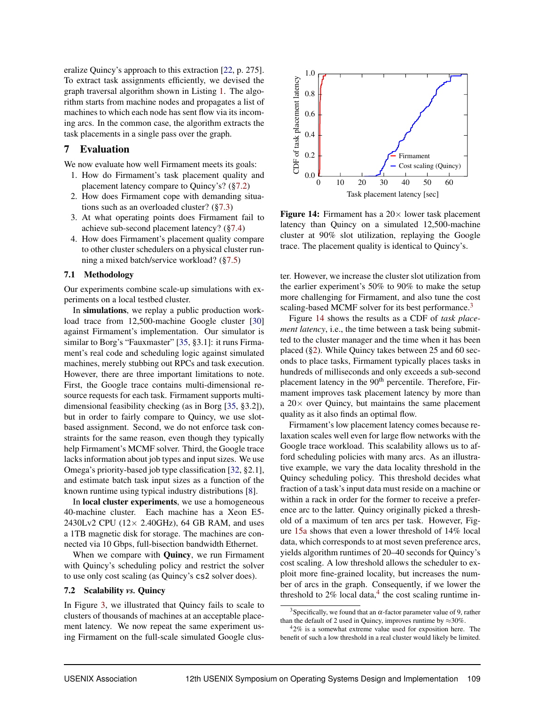eralize Quincy's approach to this extraction [22, p. 275]. To extract task assignments efficiently, we devised the graph traversal algorithm shown in Listing 1. The algorithm starts from machine nodes and propagates a list of machines to which each node has sent flow via its incoming arcs. In the common case, the algorithm extracts the task placements in a single pass over the graph.

# 7 Evaluation

We now evaluate how well Firmament meets its goals:

- 1. How do Firmament's task placement quality and placement latency compare to Quincy's? (§7.2)
- 2. How does Firmament cope with demanding situations such as an overloaded cluster? (§7.3)
- 3. At what operating points does Firmament fail to achieve sub-second placement latency? (§7.4)
- 4. How does Firmament's placement quality compare to other cluster schedulers on a physical cluster running a mixed batch/service workload? (§7.5)

## 7.1 Methodology

Our experiments combine scale-up simulations with experiments on a local testbed cluster.

In simulations, we replay a public production workload trace from 12,500-machine Google cluster [30] against Firmament's implementation. Our simulator is similar to Borg's "Fauxmaster" [35, §3.1]: it runs Firmament's real code and scheduling logic against simulated machines, merely stubbing out RPCs and task execution. However, there are three important limitations to note. First, the Google trace contains multi-dimensional resource requests for each task. Firmament supports multidimensional feasibility checking (as in Borg [35, §3.2]), but in order to fairly compare to Quincy, we use slotbased assignment. Second, we do not enforce task constraints for the same reason, even though they typically help Firmament's MCMF solver. Third, the Google trace lacks information about job types and input sizes. We use Omega's priority-based job type classification [32, §2.1], and estimate batch task input sizes as a function of the known runtime using typical industry distributions [8].

In **local cluster experiments**, we use a homogeneous 40-machine cluster. Each machine has a Xeon E5- 2430Lv2 CPU (12× 2.40GHz), 64 GB RAM, and uses a 1TB magnetic disk for storage. The machines are connected via 10 Gbps, full-bisection bandwidth Ethernet.

When we compare with **Quincy**, we run Firmament with Quincy's scheduling policy and restrict the solver to use only cost scaling (as Quincy's cs2 solver does).

## 7.2 Scalability *vs.* Quincy

In Figure 3, we illustrated that Quincy fails to scale to clusters of thousands of machines at an acceptable placement latency. We now repeat the same experiment using Firmament on the full-scale simulated Google clus-



Figure 14: Firmament has a  $20 \times$  lower task placement latency than Quincy on a simulated 12,500-machine cluster at 90% slot utilization, replaying the Google trace. The placement quality is identical to Quincy's.

ter. However, we increase the cluster slot utilization from the earlier experiment's 50% to 90% to make the setup more challenging for Firmament, and also tune the cost scaling-based MCMF solver for its best performance.<sup>3</sup>

Figure 14 shows the results as a CDF of *task placement latency*, i.e., the time between a task being submitted to the cluster manager and the time when it has been placed (§2). While Quincy takes between 25 and 60 seconds to place tasks, Firmament typically places tasks in hundreds of milliseconds and only exceeds a sub-second placement latency in the 90<sup>th</sup> percentile. Therefore, Firmament improves task placement latency by more than a  $20\times$  over Quincy, but maintains the same placement quality as it also finds an optimal flow.

Firmament's low placement latency comes because relaxation scales well even for large flow networks with the Google trace workload. This scalability allows us to afford scheduling policies with many arcs. As an illustrative example, we vary the data locality threshold in the Quincy scheduling policy. This threshold decides what fraction of a task's input data must reside on a machine or within a rack in order for the former to receive a preference arc to the latter. Quincy originally picked a threshold of a maximum of ten arcs per task. However, Figure 15a shows that even a lower threshold of 14% local data, which corresponds to at most seven preference arcs, yields algorithm runtimes of 20–40 seconds for Quincy's cost scaling. A low threshold allows the scheduler to exploit more fine-grained locality, but increases the number of arcs in the graph. Consequently, if we lower the threshold to  $2\%$  local data,<sup>4</sup> the cost scaling runtime in-

<sup>&</sup>lt;sup>3</sup>Specifically, we found that an  $\alpha$ -factor parameter value of 9, rather than the default of 2 used in Quincy, improves runtime by  $\approx 30\%$ .

 $42\%$  is a somewhat extreme value used for exposition here. The benefit of such a low threshold in a real cluster would likely be limited.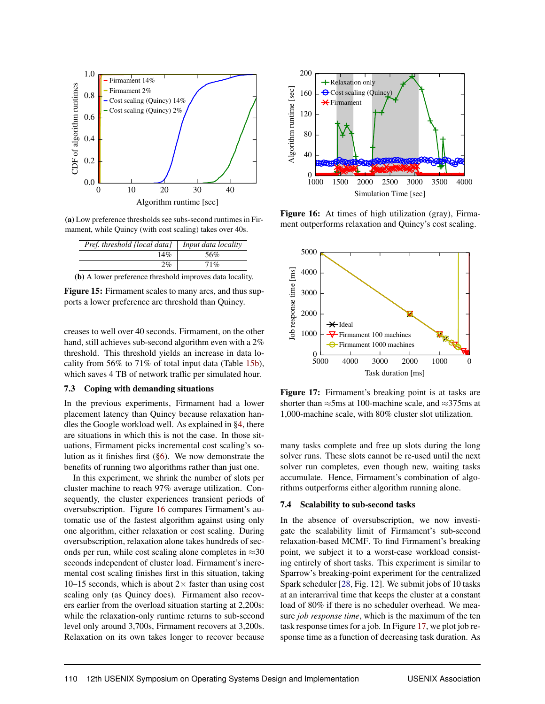

(a) Low preference thresholds see subs-second runtimes in Firmament, while Quincy (with cost scaling) takes over 40s.

| Pref. threshold [local data]                             | Input data locality |
|----------------------------------------------------------|---------------------|
| 14%                                                      | 56%                 |
| $2\%$                                                    | 71%                 |
| (b) A lower preference threshold improves data locality. |                     |

Figure 15: Firmament scales to many arcs, and thus supports a lower preference arc threshold than Quincy.

creases to well over 40 seconds. Firmament, on the other hand, still achieves sub-second algorithm even with a 2% threshold. This threshold yields an increase in data locality from 56% to 71% of total input data (Table 15b), which saves 4 TB of network traffic per simulated hour.

#### 7.3 Coping with demanding situations

In the previous experiments, Firmament had a lower placement latency than Quincy because relaxation handles the Google workload well. As explained in §4, there are situations in which this is not the case. In those situations, Firmament picks incremental cost scaling's solution as it finishes first  $(\S6)$ . We now demonstrate the benefits of running two algorithms rather than just one.

In this experiment, we shrink the number of slots per cluster machine to reach 97% average utilization. Consequently, the cluster experiences transient periods of oversubscription. Figure 16 compares Firmament's automatic use of the fastest algorithm against using only one algorithm, either relaxation or cost scaling. During oversubscription, relaxation alone takes hundreds of seconds per run, while cost scaling alone completes in  $\approx$ 30 seconds independent of cluster load. Firmament's incremental cost scaling finishes first in this situation, taking 10–15 seconds, which is about  $2\times$  faster than using cost scaling only (as Quincy does). Firmament also recovers earlier from the overload situation starting at 2,200s: while the relaxation-only runtime returns to sub-second level only around 3,700s, Firmament recovers at 3,200s. Relaxation on its own takes longer to recover because



Figure 16: At times of high utilization (gray), Firmament outperforms relaxation and Quincy's cost scaling.



Figure 17: Firmament's breaking point is at tasks are shorter than  $\approx$ 5ms at 100-machine scale, and  $\approx$ 375ms at 1,000-machine scale, with 80% cluster slot utilization.

many tasks complete and free up slots during the long solver runs. These slots cannot be re-used until the next solver run completes, even though new, waiting tasks accumulate. Hence, Firmament's combination of algorithms outperforms either algorithm running alone.

#### 7.4 Scalability to sub-second tasks

In the absence of oversubscription, we now investigate the scalability limit of Firmament's sub-second relaxation-based MCMF. To find Firmament's breaking point, we subject it to a worst-case workload consisting entirely of short tasks. This experiment is similar to Sparrow's breaking-point experiment for the centralized Spark scheduler [28, Fig. 12]. We submit jobs of 10 tasks at an interarrival time that keeps the cluster at a constant load of 80% if there is no scheduler overhead. We measure *job response time*, which is the maximum of the ten task response times for a job. In Figure 17, we plot job response time as a function of decreasing task duration. As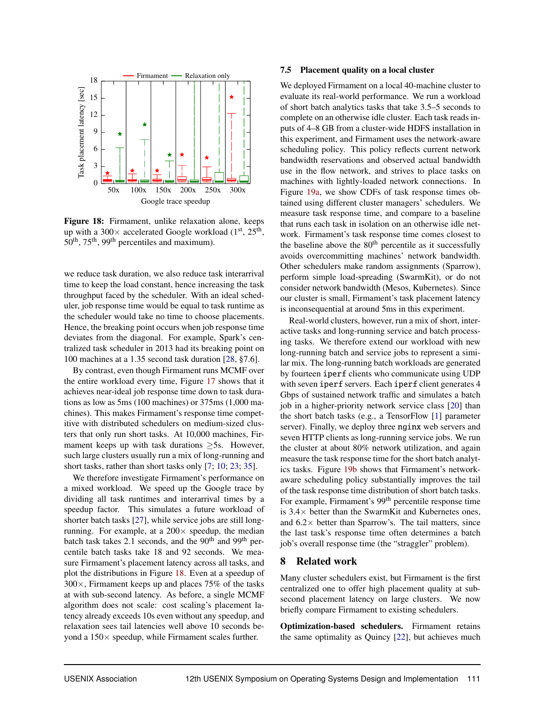

Figure 18: Firmament, unlike relaxation alone, keeps up with a  $300\times$  accelerated Google workload (1<sup>st</sup>, 25<sup>th</sup>, 50<sup>th</sup>, 75<sup>th</sup>, 99<sup>th</sup> percentiles and maximum).

we reduce task duration, we also reduce task interarrival time to keep the load constant, hence increasing the task throughput faced by the scheduler. With an ideal scheduler, job response time would be equal to task runtime as the scheduler would take no time to choose placements. Hence, the breaking point occurs when job response time deviates from the diagonal. For example, Spark's centralized task scheduler in 2013 had its breaking point on 100 machines at a 1.35 second task duration [28, §7.6].

By contrast, even though Firmament runs MCMF over the entire workload every time, Figure 17 shows that it achieves near-ideal job response time down to task durations as low as 5ms (100 machines) or 375ms (1,000 machines). This makes Firmament's response time competitive with distributed schedulers on medium-sized clusters that only run short tasks. At 10,000 machines, Firmament keeps up with task durations  $\geq$ 5s. However, such large clusters usually run a mix of long-running and short tasks, rather than short tasks only [7; 10; 23; 35].

We therefore investigate Firmament's performance on a mixed workload. We speed up the Google trace by dividing all task runtimes and interarrival times by a speedup factor. This simulates a future workload of shorter batch tasks [27], while service jobs are still longrunning. For example, at a  $200 \times$  speedup, the median batch task takes 2.1 seconds, and the  $90<sup>th</sup>$  and  $99<sup>th</sup>$  percentile batch tasks take 18 and 92 seconds. We measure Firmament's placement latency across all tasks, and plot the distributions in Figure 18. Even at a speedup of  $300\times$ , Firmament keeps up and places 75% of the tasks at with sub-second latency. As before, a single MCMF algorithm does not scale: cost scaling's placement latency already exceeds 10s even without any speedup, and relaxation sees tail latencies well above 10 seconds beyond a  $150\times$  speedup, while Firmament scales further.

#### 7.5 Placement quality on a local cluster

We deployed Firmament on a local 40-machine cluster to evaluate its real-world performance. We run a workload of short batch analytics tasks that take 3.5–5 seconds to complete on an otherwise idle cluster. Each task reads inputs of 4–8 GB from a cluster-wide HDFS installation in this experiment, and Firmament uses the network-aware scheduling policy. This policy reflects current network bandwidth reservations and observed actual bandwidth use in the flow network, and strives to place tasks on machines with lightly-loaded network connections. In Figure 19a, we show CDFs of task response times obtained using different cluster managers' schedulers. We measure task response time, and compare to a baseline that runs each task in isolation on an otherwise idle network. Firmament's task response time comes closest to the baseline above the  $80<sup>th</sup>$  percentile as it successfully avoids overcommitting machines' network bandwidth. Other schedulers make random assignments (Sparrow), perform simple load-spreading (SwarmKit), or do not consider network bandwidth (Mesos, Kubernetes). Since our cluster is small, Firmament's task placement latency is inconsequential at around 5ms in this experiment.

Real-world clusters, however, run a mix of short, interactive tasks and long-running service and batch processing tasks. We therefore extend our workload with new long-running batch and service jobs to represent a similar mix. The long-running batch workloads are generated by fourteen iperf clients who communicate using UDP with seven iperf servers. Each iperf client generates 4 Gbps of sustained network traffic and simulates a batch job in a higher-priority network service class [20] than the short batch tasks (e.g., a TensorFlow [1] parameter server). Finally, we deploy three nginx web servers and seven HTTP clients as long-running service jobs. We run the cluster at about 80% network utilization, and again measure the task response time for the short batch analytics tasks. Figure 19b shows that Firmament's networkaware scheduling policy substantially improves the tail of the task response time distribution of short batch tasks. For example, Firmament's 99<sup>th</sup> percentile response time is  $3.4\times$  better than the SwarmKit and Kubernetes ones, and  $6.2 \times$  better than Sparrow's. The tail matters, since the last task's response time often determines a batch job's overall response time (the "straggler" problem).

# 8 Related work

Many cluster schedulers exist, but Firmament is the first centralized one to offer high placement quality at subsecond placement latency on large clusters. We now briefly compare Firmament to existing schedulers.

Optimization-based schedulers. Firmament retains the same optimality as Quincy [22], but achieves much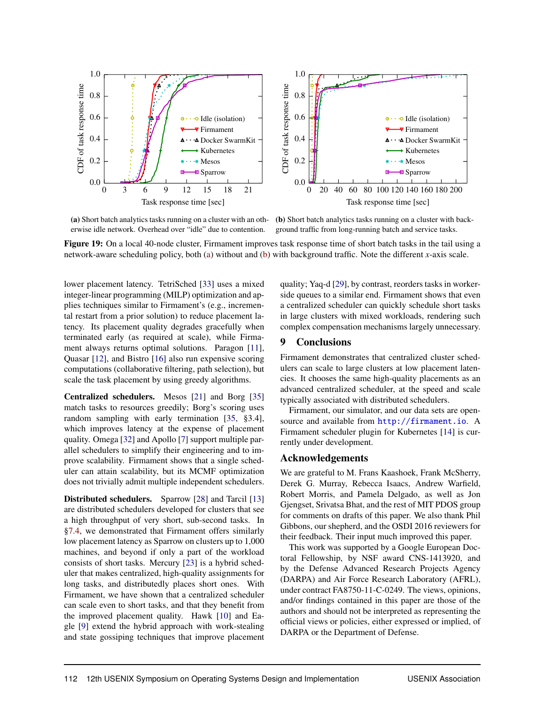

erwise idle network. Overhead over "idle" due to contention.

(a) Short batch analytics tasks running on a cluster with an oth-(b) Short batch analytics tasks running on a cluster with background traffic from long-running batch and service tasks.

Figure 19: On a local 40-node cluster, Firmament improves task response time of short batch tasks in the tail using a network-aware scheduling policy, both (a) without and (b) with background traffic. Note the different *x*-axis scale.

lower placement latency. TetriSched [33] uses a mixed integer-linear programming (MILP) optimization and applies techniques similar to Firmament's (e.g., incremental restart from a prior solution) to reduce placement latency. Its placement quality degrades gracefully when terminated early (as required at scale), while Firmament always returns optimal solutions. Paragon [11], Quasar [12], and Bistro [16] also run expensive scoring computations (collaborative filtering, path selection), but scale the task placement by using greedy algorithms.

Centralized schedulers. Mesos [21] and Borg [35] match tasks to resources greedily; Borg's scoring uses random sampling with early termination [35, §3.4], which improves latency at the expense of placement quality. Omega [32] and Apollo [7] support multiple parallel schedulers to simplify their engineering and to improve scalability. Firmament shows that a single scheduler can attain scalability, but its MCMF optimization does not trivially admit multiple independent schedulers.

Distributed schedulers. Sparrow [28] and Tarcil [13] are distributed schedulers developed for clusters that see a high throughput of very short, sub-second tasks. In §7.4, we demonstrated that Firmament offers similarly low placement latency as Sparrow on clusters up to 1,000 machines, and beyond if only a part of the workload consists of short tasks. Mercury [23] is a hybrid scheduler that makes centralized, high-quality assignments for long tasks, and distributedly places short ones. With Firmament, we have shown that a centralized scheduler can scale even to short tasks, and that they benefit from the improved placement quality. Hawk [10] and Eagle [9] extend the hybrid approach with work-stealing and state gossiping techniques that improve placement quality; Yaq-d [29], by contrast, reorders tasks in workerside queues to a similar end. Firmament shows that even a centralized scheduler can quickly schedule short tasks in large clusters with mixed workloads, rendering such complex compensation mechanisms largely unnecessary.

# 9 Conclusions

Firmament demonstrates that centralized cluster schedulers can scale to large clusters at low placement latencies. It chooses the same high-quality placements as an advanced centralized scheduler, at the speed and scale typically associated with distributed schedulers.

Firmament, our simulator, and our data sets are opensource and available from <http://firmament.io>. A Firmament scheduler plugin for Kubernetes [14] is currently under development.

## Acknowledgements

We are grateful to M. Frans Kaashoek, Frank McSherry, Derek G. Murray, Rebecca Isaacs, Andrew Warfield, Robert Morris, and Pamela Delgado, as well as Jon Gjengset, Srivatsa Bhat, and the rest of MIT PDOS group for comments on drafts of this paper. We also thank Phil Gibbons, our shepherd, and the OSDI 2016 reviewers for their feedback. Their input much improved this paper.

This work was supported by a Google European Doctoral Fellowship, by NSF award CNS-1413920, and by the Defense Advanced Research Projects Agency (DARPA) and Air Force Research Laboratory (AFRL), under contract FA8750-11-C-0249. The views, opinions, and/or findings contained in this paper are those of the authors and should not be interpreted as representing the official views or policies, either expressed or implied, of DARPA or the Department of Defense.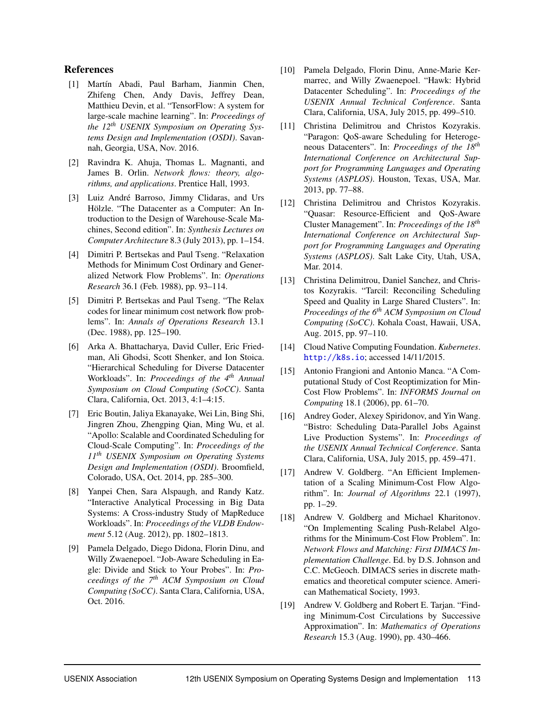# References

- [1] Martín Abadi, Paul Barham, Jianmin Chen, Zhifeng Chen, Andy Davis, Jeffrey Dean, Matthieu Devin, et al. "TensorFlow: A system for large-scale machine learning". In: *Proceedings of the 12th USENIX Symposium on Operating Systems Design and Implementation (OSDI)*. Savannah, Georgia, USA, Nov. 2016.
- [2] Ravindra K. Ahuja, Thomas L. Magnanti, and James B. Orlin. *Network flows: theory, algorithms, and applications*. Prentice Hall, 1993.
- [3] Luiz André Barroso, Jimmy Clidaras, and Urs Hölzle. "The Datacenter as a Computer: An Introduction to the Design of Warehouse-Scale Machines, Second edition". In: *Synthesis Lectures on Computer Architecture* 8.3 (July 2013), pp. 1–154.
- [4] Dimitri P. Bertsekas and Paul Tseng. "Relaxation Methods for Minimum Cost Ordinary and Generalized Network Flow Problems". In: *Operations Research* 36.1 (Feb. 1988), pp. 93–114.
- [5] Dimitri P. Bertsekas and Paul Tseng. "The Relax codes for linear minimum cost network flow problems". In: *Annals of Operations Research* 13.1 (Dec. 1988), pp. 125–190.
- [6] Arka A. Bhattacharya, David Culler, Eric Friedman, Ali Ghodsi, Scott Shenker, and Ion Stoica. "Hierarchical Scheduling for Diverse Datacenter Workloads". In: *Proceedings of the 4th Annual Symposium on Cloud Computing (SoCC)*. Santa Clara, California, Oct. 2013, 4:1–4:15.
- [7] Eric Boutin, Jaliya Ekanayake, Wei Lin, Bing Shi, Jingren Zhou, Zhengping Qian, Ming Wu, et al. "Apollo: Scalable and Coordinated Scheduling for Cloud-Scale Computing". In: *Proceedings of the 11th USENIX Symposium on Operating Systems Design and Implementation (OSDI)*. Broomfield, Colorado, USA, Oct. 2014, pp. 285–300.
- [8] Yanpei Chen, Sara Alspaugh, and Randy Katz. "Interactive Analytical Processing in Big Data Systems: A Cross-industry Study of MapReduce Workloads". In: *Proceedings of the VLDB Endowment* 5.12 (Aug. 2012), pp. 1802–1813.
- [9] Pamela Delgado, Diego Didona, Florin Dinu, and Willy Zwaenepoel. "Job-Aware Scheduling in Eagle: Divide and Stick to Your Probes". In: *Proceedings of the 7th ACM Symposium on Cloud Computing (SoCC)*. Santa Clara, California, USA, Oct. 2016.
- [10] Pamela Delgado, Florin Dinu, Anne-Marie Kermarrec, and Willy Zwaenepoel. "Hawk: Hybrid Datacenter Scheduling". In: *Proceedings of the USENIX Annual Technical Conference*. Santa Clara, California, USA, July 2015, pp. 499–510.
- [11] Christina Delimitrou and Christos Kozyrakis. "Paragon: QoS-aware Scheduling for Heterogeneous Datacenters". In: *Proceedings of the 18th International Conference on Architectural Support for Programming Languages and Operating Systems (ASPLOS)*. Houston, Texas, USA, Mar. 2013, pp. 77–88.
- [12] Christina Delimitrou and Christos Kozyrakis. "Quasar: Resource-Efficient and QoS-Aware Cluster Management". In: *Proceedings of the 18th International Conference on Architectural Support for Programming Languages and Operating Systems (ASPLOS)*. Salt Lake City, Utah, USA, Mar. 2014.
- [13] Christina Delimitrou, Daniel Sanchez, and Christos Kozyrakis. "Tarcil: Reconciling Scheduling Speed and Quality in Large Shared Clusters". In: *Proceedings of the 6th ACM Symposium on Cloud Computing (SoCC)*. Kohala Coast, Hawaii, USA, Aug. 2015, pp. 97–110.
- [14] Cloud Native Computing Foundation. *Kubernetes*. <http://k8s.io>; accessed 14/11/2015.
- [15] Antonio Frangioni and Antonio Manca. "A Computational Study of Cost Reoptimization for Min-Cost Flow Problems". In: *INFORMS Journal on Computing* 18.1 (2006), pp. 61–70.
- [16] Andrey Goder, Alexey Spiridonov, and Yin Wang. "Bistro: Scheduling Data-Parallel Jobs Against Live Production Systems". In: *Proceedings of the USENIX Annual Technical Conference*. Santa Clara, California, USA, July 2015, pp. 459–471.
- [17] Andrew V. Goldberg. "An Efficient Implementation of a Scaling Minimum-Cost Flow Algorithm". In: *Journal of Algorithms* 22.1 (1997), pp. 1–29.
- [18] Andrew V. Goldberg and Michael Kharitonov. "On Implementing Scaling Push-Relabel Algorithms for the Minimum-Cost Flow Problem". In: *Network Flows and Matching: First DIMACS Implementation Challenge*. Ed. by D.S. Johnson and C.C. McGeoch. DIMACS series in discrete mathematics and theoretical computer science. American Mathematical Society, 1993.
- [19] Andrew V. Goldberg and Robert E. Tarjan. "Finding Minimum-Cost Circulations by Successive Approximation". In: *Mathematics of Operations Research* 15.3 (Aug. 1990), pp. 430–466.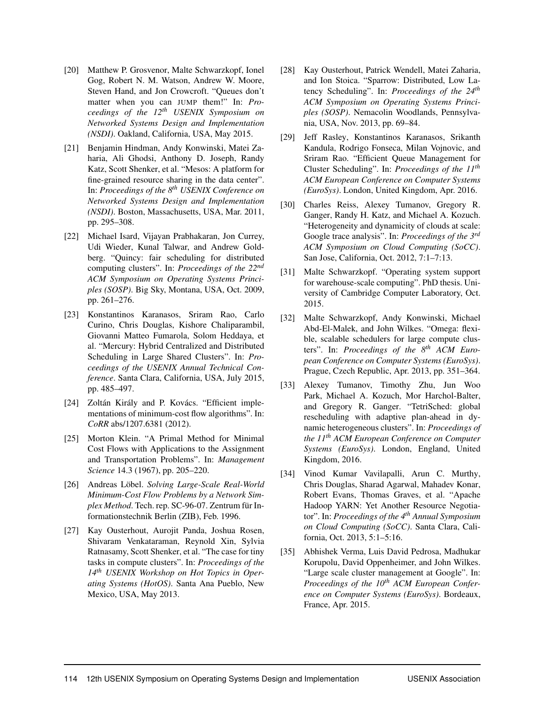- [20] Matthew P. Grosvenor, Malte Schwarzkopf, Ionel Gog, Robert N. M. Watson, Andrew W. Moore, Steven Hand, and Jon Crowcroft. "Queues don't matter when you can JUMP them!" In: *Proceedings of the 12th USENIX Symposium on Networked Systems Design and Implementation (NSDI)*. Oakland, California, USA, May 2015.
- [21] Benjamin Hindman, Andy Konwinski, Matei Zaharia, Ali Ghodsi, Anthony D. Joseph, Randy Katz, Scott Shenker, et al. "Mesos: A platform for fine-grained resource sharing in the data center". In: *Proceedings of the 8th USENIX Conference on Networked Systems Design and Implementation (NSDI)*. Boston, Massachusetts, USA, Mar. 2011, pp. 295–308.
- [22] Michael Isard, Vijayan Prabhakaran, Jon Currey, Udi Wieder, Kunal Talwar, and Andrew Goldberg. "Quincy: fair scheduling for distributed computing clusters". In: *Proceedings of the 22nd ACM Symposium on Operating Systems Principles (SOSP)*. Big Sky, Montana, USA, Oct. 2009, pp. 261–276.
- [23] Konstantinos Karanasos, Sriram Rao, Carlo Curino, Chris Douglas, Kishore Chaliparambil, Giovanni Matteo Fumarola, Solom Heddaya, et al. "Mercury: Hybrid Centralized and Distributed Scheduling in Large Shared Clusters". In: *Proceedings of the USENIX Annual Technical Conference*. Santa Clara, California, USA, July 2015, pp. 485–497.
- [24] Zoltán Király and P. Kovács. "Efficient implementations of minimum-cost flow algorithms". In: *CoRR* abs/1207.6381 (2012).
- [25] Morton Klein. "A Primal Method for Minimal Cost Flows with Applications to the Assignment and Transportation Problems". In: *Management Science* 14.3 (1967), pp. 205–220.
- [26] Andreas Löbel. Solving Large-Scale Real-World *Minimum-Cost Flow Problems by a Network Simplex Method*. Tech. rep. SC-96-07. Zentrum für Informationstechnik Berlin (ZIB), Feb. 1996.
- [27] Kay Ousterhout, Aurojit Panda, Joshua Rosen, Shivaram Venkataraman, Reynold Xin, Sylvia Ratnasamy, Scott Shenker, et al. "The case for tiny tasks in compute clusters". In: *Proceedings of the 14th USENIX Workshop on Hot Topics in Operating Systems (HotOS)*. Santa Ana Pueblo, New Mexico, USA, May 2013.
- [28] Kay Ousterhout, Patrick Wendell, Matei Zaharia, and Ion Stoica. "Sparrow: Distributed, Low Latency Scheduling". In: *Proceedings of the 24th ACM Symposium on Operating Systems Principles (SOSP)*. Nemacolin Woodlands, Pennsylvania, USA, Nov. 2013, pp. 69–84.
- [29] Jeff Rasley, Konstantinos Karanasos, Srikanth Kandula, Rodrigo Fonseca, Milan Vojnovic, and Sriram Rao. "Efficient Queue Management for Cluster Scheduling". In: *Proceedings of the 11th ACM European Conference on Computer Systems (EuroSys)*. London, United Kingdom, Apr. 2016.
- [30] Charles Reiss, Alexey Tumanov, Gregory R. Ganger, Randy H. Katz, and Michael A. Kozuch. "Heterogeneity and dynamicity of clouds at scale: Google trace analysis". In: *Proceedings of the 3rd ACM Symposium on Cloud Computing (SoCC)*. San Jose, California, Oct. 2012, 7:1–7:13.
- [31] Malte Schwarzkopf. "Operating system support for warehouse-scale computing". PhD thesis. University of Cambridge Computer Laboratory, Oct. 2015.
- [32] Malte Schwarzkopf, Andy Konwinski, Michael Abd-El-Malek, and John Wilkes. "Omega: flexible, scalable schedulers for large compute clusters". In: *Proceedings of the 8th ACM European Conference on Computer Systems (EuroSys)*. Prague, Czech Republic, Apr. 2013, pp. 351–364.
- [33] Alexey Tumanov, Timothy Zhu, Jun Woo Park, Michael A. Kozuch, Mor Harchol-Balter, and Gregory R. Ganger. "TetriSched: global rescheduling with adaptive plan-ahead in dynamic heterogeneous clusters". In: *Proceedings of the 11th ACM European Conference on Computer Systems (EuroSys)*. London, England, United Kingdom, 2016.
- [34] Vinod Kumar Vavilapalli, Arun C. Murthy, Chris Douglas, Sharad Agarwal, Mahadev Konar, Robert Evans, Thomas Graves, et al. "Apache Hadoop YARN: Yet Another Resource Negotiator". In: *Proceedings of the 4th Annual Symposium on Cloud Computing (SoCC)*. Santa Clara, California, Oct. 2013, 5:1–5:16.
- [35] Abhishek Verma, Luis David Pedrosa, Madhukar Korupolu, David Oppenheimer, and John Wilkes. "Large scale cluster management at Google". In: *Proceedings of the 10th ACM European Conference on Computer Systems (EuroSys)*. Bordeaux, France, Apr. 2015.